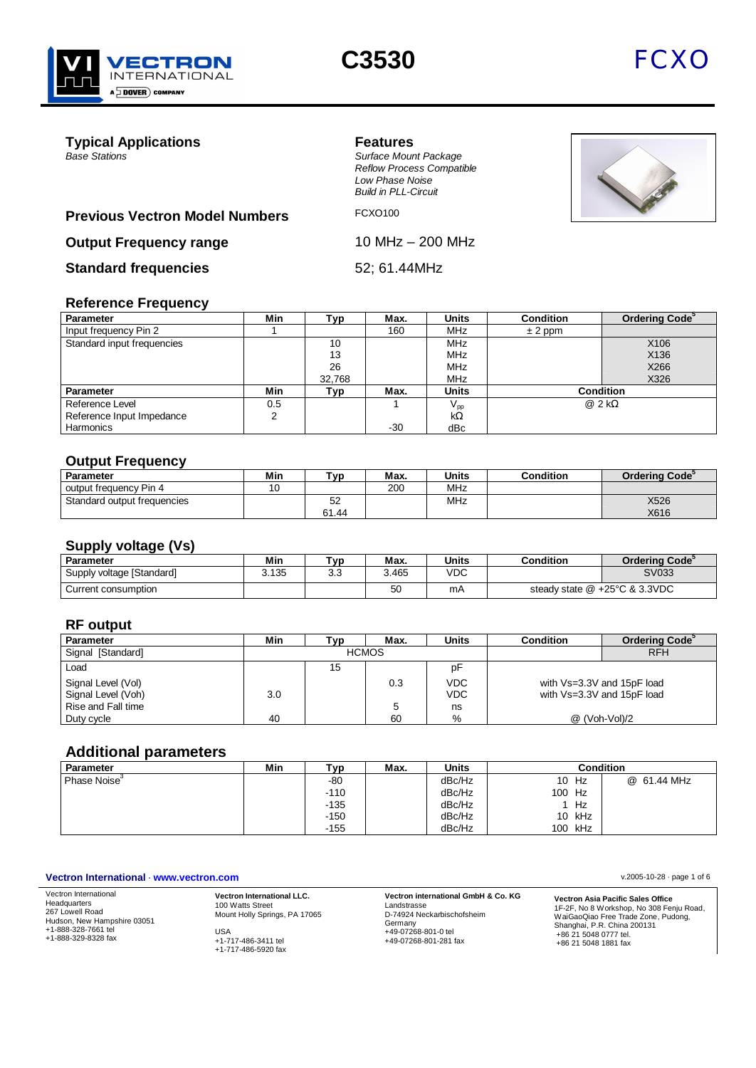



**Typical Applications**<br> **Base Stations**<br> **Base Stations** 

*Base Stations Surface Mount Package Reflow Process Compatible Low Phase Noise Build in PLL-Circuit*



## **Previous Vectron Model Numbers** FCXO100

**Output Frequency range** 10 MHz – 200 MHz

**Standard frequencies** 52; 61.44MHz

# **Reference Frequency**

| Parameter                  | Min | Тур    | Max.  | <b>Units</b>    | <b>Condition</b> | Ordering Code <sup>5</sup> |
|----------------------------|-----|--------|-------|-----------------|------------------|----------------------------|
| Input frequency Pin 2      |     |        | 160   | <b>MHz</b>      | $± 2$ ppm        |                            |
| Standard input frequencies |     | 10     |       | <b>MHz</b>      |                  | X106                       |
|                            |     | 13     |       | <b>MHz</b>      |                  | X136                       |
|                            |     | 26     |       | <b>MHz</b>      |                  | X266                       |
|                            |     | 32.768 |       | MHz             |                  | X326                       |
| Parameter                  | Min | Typ    | Max.  | <b>Units</b>    |                  | <b>Condition</b>           |
| Reference Level            | 0.5 |        |       | $V_{\text{pp}}$ |                  | $@2k\Omega$                |
| Reference Input Impedance  |     |        |       | $k\Omega$       |                  |                            |
| Harmonics                  |     |        | $-30$ | dBc             |                  |                            |

#### **Output Frequency**

| <b>Parameter</b>            | Min | T <sub>vn</sub> | Max. | <b>Units</b> | <b>Condition</b> | Ordering Code <sup>3</sup> |
|-----------------------------|-----|-----------------|------|--------------|------------------|----------------------------|
| output frequency Pin 4      |     |                 | 200  | <b>MHz</b>   |                  |                            |
| Standard output frequencies |     | ےت              |      | <b>MHz</b>   |                  | X526                       |
|                             |     | 61.44           |      |              |                  | X616                       |

#### **Supply voltage (Vs)**

| Parameter                 | Min   | ันท       | Max.  | <b>Units</b> | Condition                        | Ordering Code <sup>3</sup> |
|---------------------------|-------|-----------|-------|--------------|----------------------------------|----------------------------|
| Supply voltage [Standard] | 3.135 | วว<br>ن.ر | 3.465 | VDC          |                                  | SV033                      |
| Current consumption       |       |           | 50    | mΑ           | steady state $@ +25°C \& 3.3VDC$ |                            |

#### **RF output**

| <b>Parameter</b>   | Min | ™ ⊽          | Max. | <b>Units</b> | <b>Condition</b> | Ordering Code <sup>3</sup> |
|--------------------|-----|--------------|------|--------------|------------------|----------------------------|
| Signal [Standard]  |     | <b>HCMOS</b> |      |              | <b>RFH</b>       |                            |
| Load               |     | 15           |      | рF           |                  |                            |
| Signal Level (Vol) |     |              | 0.3  | <b>VDC</b>   |                  | with Vs=3.3V and 15pF load |
| Signal Level (Voh) | 3.0 |              |      | <b>VDC</b>   |                  | with Vs=3.3V and 15pF load |
| Rise and Fall time |     |              |      | ns           |                  |                            |
| Duty cycle         | 40  |              | 60   | %            |                  | @ (Voh-Vol)/2              |

## **Additional parameters**

| <b>Parameter</b>         | Min | тур    | Max. | <b>Units</b> |            | Condition   |
|--------------------------|-----|--------|------|--------------|------------|-------------|
| Phase Noise <sup>3</sup> |     | -80    |      | dBc/Hz       | 10<br>Hz   | @ 61.44 MHz |
|                          |     | $-110$ |      | dBc/Hz       | Hz<br>100  |             |
|                          |     | $-135$ |      | dBc/Hz       | Hz         |             |
|                          |     | $-150$ |      | dBc/Hz       | 10 kHz     |             |
|                          |     | $-155$ |      | dBc/Hz       | kHz<br>100 |             |

#### **Vectron International** · **www.vectron.com** v.2005-10-28 · page 1 of 6

Vectron International Headquarters 267 Lowell Road Hudson, New Hampshire 03051 +1-888-328-7661 tel +1-888-329-8328 fax

**Vectron International LLC.** 100 Watts Street Mount Holly Springs, PA 17065 USA +1-717-486-3411 tel +1-717-486-5920 fax

**Vectron international GmbH & Co. KG** Landstrasse D-74924 Neckarbischofsheim Germany +49-07268-801-0 tel +49-07268-801-281 fax

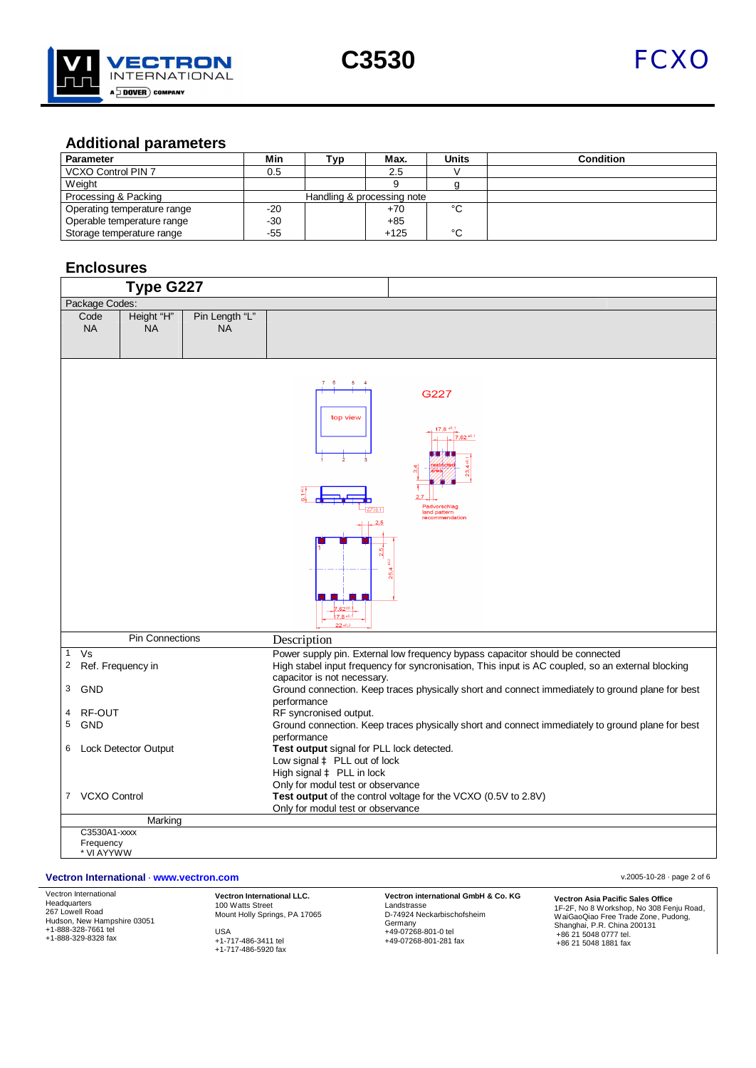



## **Additional parameters**

| <b>Parameter</b>            | Min                        | ™ур | Max.   | <b>Units</b> | <b>Condition</b> |
|-----------------------------|----------------------------|-----|--------|--------------|------------------|
| <b>VCXO Control PIN 7</b>   | 0.5                        |     | 2.5    |              |                  |
| Weight                      |                            |     |        |              |                  |
| Processing & Packing        | Handling & processing note |     |        |              |                  |
| Operating temperature range | $-20$                      |     | $+70$  | °C           |                  |
| Operable temperature range  | $-30$                      |     | $+85$  |              |                  |
| Storage temperature range   | $-55$                      |     | $+125$ | °C           |                  |

## **Enclosures**

|                                |                           | Type G227                   |                             |                                                                                                                                                                                                                   |
|--------------------------------|---------------------------|-----------------------------|-----------------------------|-------------------------------------------------------------------------------------------------------------------------------------------------------------------------------------------------------------------|
|                                | Package Codes:            |                             |                             |                                                                                                                                                                                                                   |
|                                | Code<br><b>NA</b>         | Height "H"<br><b>NA</b>     | Pin Length "L"<br><b>NA</b> |                                                                                                                                                                                                                   |
|                                |                           |                             |                             | 76<br>5<br>G227<br>top view<br>$17,8^{+0.1}$<br>$7,62^{+0.1}$<br>Padvorschlag<br>Z/ 0,1 <br>land pattern<br>recommendation<br>$17.8 + 0$                                                                          |
|                                |                           | <b>Pin Connections</b>      |                             | Description                                                                                                                                                                                                       |
| $\mathbf{1}$<br>$\overline{c}$ | Vs<br>Ref. Frequency in   |                             |                             | Power supply pin. External low frequency bypass capacitor should be connected<br>High stabel input frequency for syncronisation, This input is AC coupled, so an external blocking<br>capacitor is not necessary. |
| 3                              | <b>GND</b>                |                             |                             | Ground connection. Keep traces physically short and connect immediately to ground plane for best<br>performance                                                                                                   |
| 4                              | RF-OUT                    |                             |                             | RF syncronised output.                                                                                                                                                                                            |
| 5                              | <b>GND</b>                |                             |                             | Ground connection. Keep traces physically short and connect immediately to ground plane for best                                                                                                                  |
| 6                              |                           | <b>Lock Detector Output</b> |                             | performance<br>Test output signal for PLL lock detected.<br>Low signal à PLL out of lock<br>High signal à PLL in lock<br>Only for modul test or observance                                                        |
|                                | 7 VCXO Control            |                             |                             | Test output of the control voltage for the VCXO (0.5V to 2.8V)                                                                                                                                                    |
|                                |                           |                             |                             | Only for modul test or observance                                                                                                                                                                                 |
|                                |                           | Marking                     |                             |                                                                                                                                                                                                                   |
|                                | C3530A1-xxxx<br>Frequency |                             |                             |                                                                                                                                                                                                                   |
|                                | * VI AYYWW                |                             |                             |                                                                                                                                                                                                                   |

#### **Vectron International** · **www.vectron.com** v.2005-10-28 · page 2 of 6

Vectron International Headquarters 267 Lowell Road Hudson, New Hampshire 03051 +1-888-328-7661 tel +1-888-329-8328 fax

**Vectron International LLC.** 100 Watts Street Mount Holly Springs, PA 17065 USA +1-717-486-3411 tel +1-717-486-5920 fax

**Vectron international GmbH & Co. KG** Landstrasse D-74924 Neckarbischofsheim Germany +49-07268-801-0 tel +49-07268-801-281 fax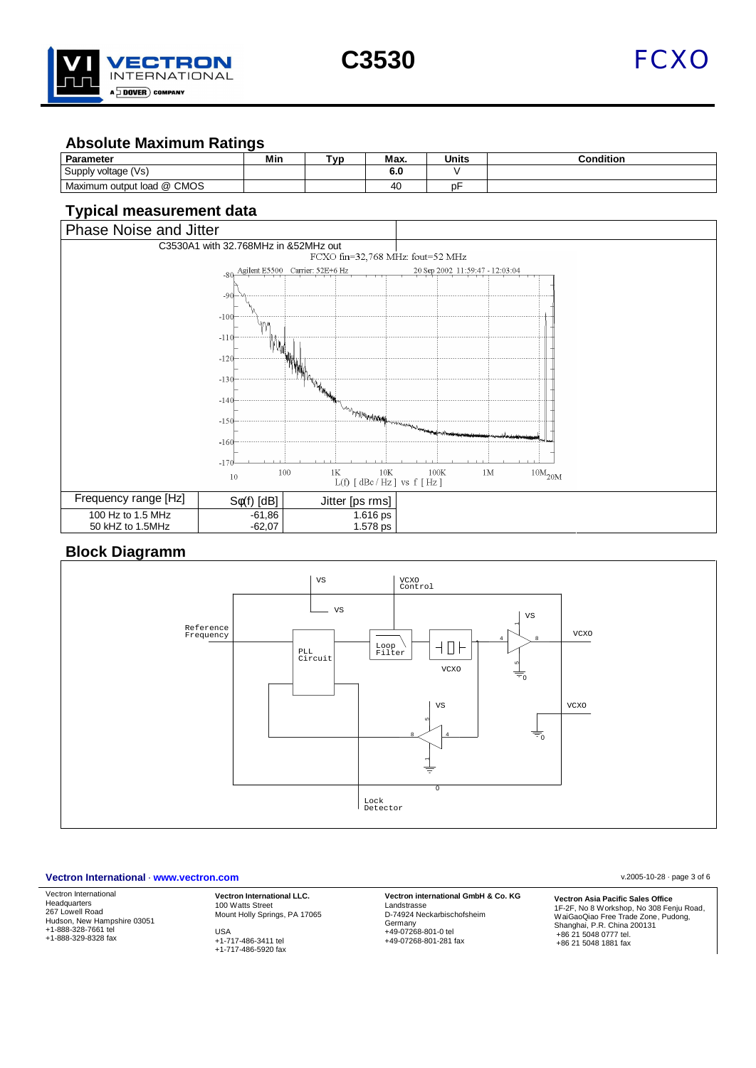



## **Absolute Maximum Ratings**

| Parameter                     | Min | T <sub>VD</sub> | Max. | <b>Units</b> | $\sim$ ondition |
|-------------------------------|-----|-----------------|------|--------------|-----------------|
| Supply voltage (Vs)           |     |                 | 6.0  |              |                 |
| output load @ CMOS<br>Maximum |     |                 | 40   | ℩ͱ           |                 |

# **Typical measurement data**



## **Block Diagramm**



#### **Vectron International** · **www.vectron.com** v.2005-10-28 · page 3 of 6

Vectron International Headquarters 267 Lowell Road Hudson, New Hampshire 03051 +1-888-328-7661 tel +1-888-329-8328 fax

**Vectron International LLC.** 100 Watts Street Mount Holly Springs, PA 17065 USA +1-717-486-3411 tel

+1-717-486-5920 fax

**Vectron international GmbH & Co. KG** Landstrasse D-74924 Neckarbischofsheim Germany +49-07268-801-0 tel +49-07268-801-281 fax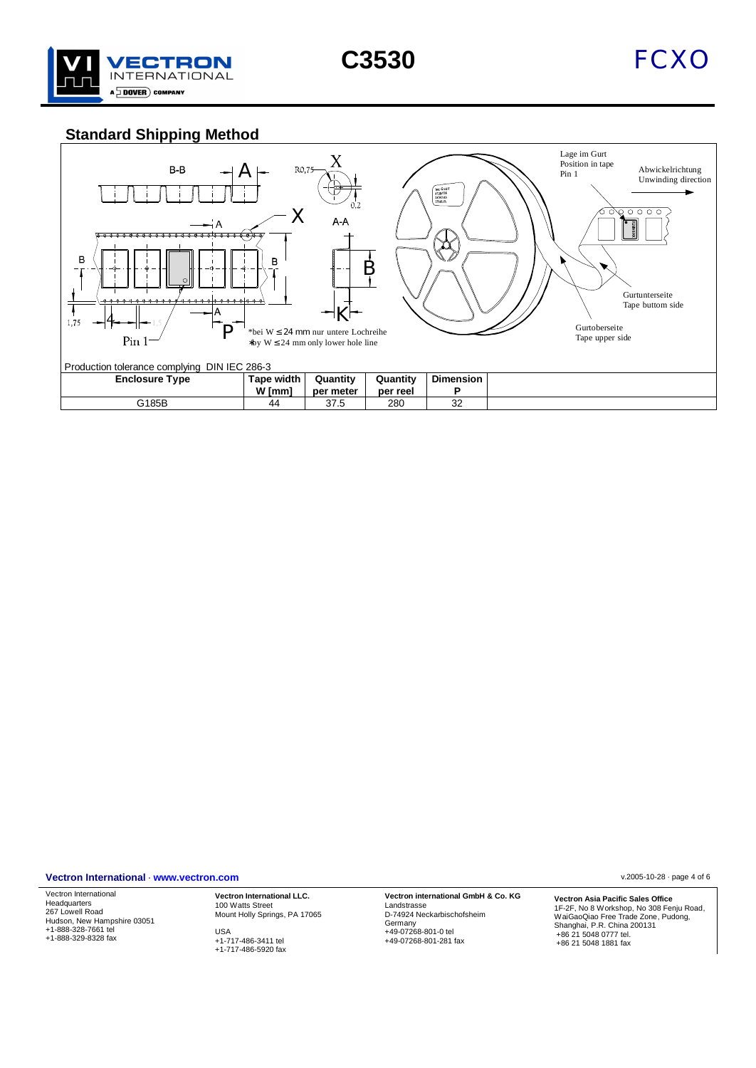



# **Standard Shipping Method**



#### **Vectron International** · **www.vectron.com** v.2005-10-28 · page 4 of 6

Vectron International Headquarters 267 Lowell Road Hudson, New Hampshire 03051 +1-888-328-7661 tel +1-888-329-8328 fax

**Vectron International LLC.** 100 Watts Street Mount Holly Springs, PA 17065 USA +1-717-486-3411 tel

+1-717-486-5920 fax

**Vectron international GmbH & Co. KG** Landstrasse D-74924 Neckarbischofsheim Germany +49-07268-801-0 tel +49-07268-801-281 fax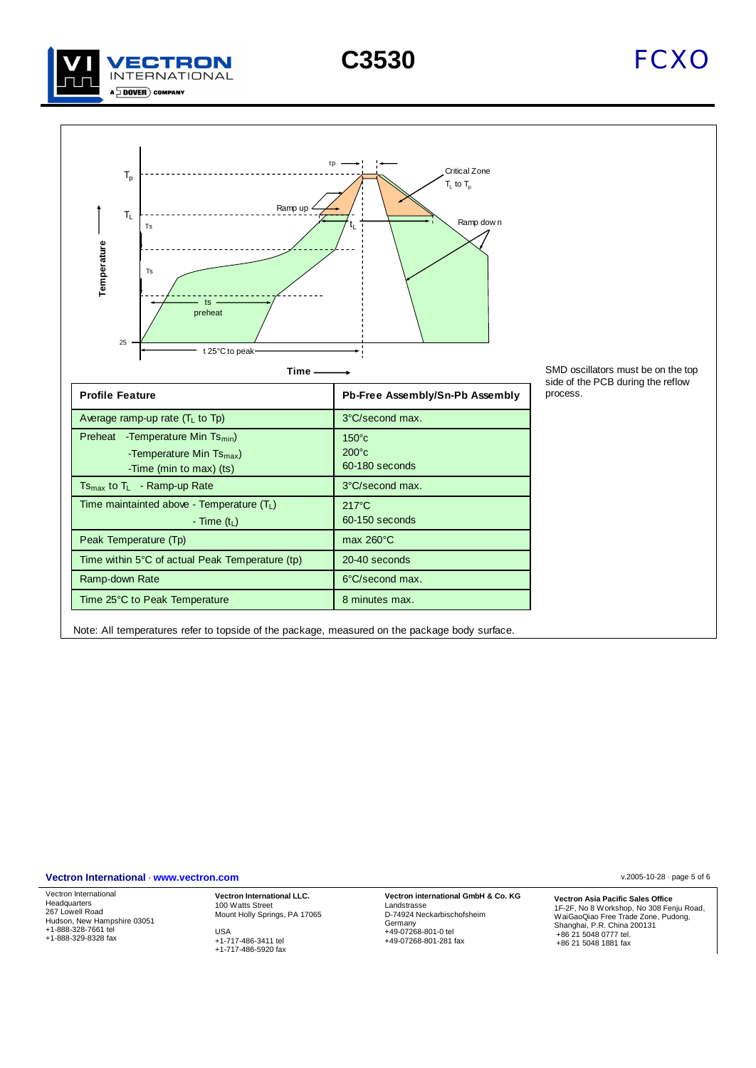







SMD oscillators must be on the top side of the PCB during the reflow

| <b>Profile Feature</b>                                                                               | Pb-Free Assembly/Sn-Pb Assembly                      |
|------------------------------------------------------------------------------------------------------|------------------------------------------------------|
| Average ramp-up rate $(TL$ to Tp)                                                                    | 3°C/second max.                                      |
| -Temperature Min $Ts_{min}$ )<br>Preheat<br>-Temperature Min $Ts_{max}$ )<br>-Time (min to max) (ts) | $150^{\circ}$ c<br>$200^{\circ}$ c<br>60-180 seconds |
| $Ts_{max}$ to $T_L$ - Ramp-up Rate                                                                   | 3°C/second max.                                      |
| Time maintainted above - Temperature $(T_L)$<br>- Time $(t1)$                                        | $217^{\circ}$ C<br>60-150 seconds                    |
| Peak Temperature (Tp)                                                                                | max $260^{\circ}$ C                                  |
| Time within 5°C of actual Peak Temperature (tp)                                                      | 20-40 seconds                                        |
| Ramp-down Rate                                                                                       | 6°C/second max.                                      |
| Time 25°C to Peak Temperature                                                                        | 8 minutes max.                                       |

Note: All temperatures refer to topside of the package, measured on the package body surface.

**Vectron International** · **www.vectron.com** v.2005-10-28 · page 5 of 6

Vectron International Headquarters 267 Lowell Road Hudson, New Hampshire 03051 +1-888-328-7661 tel +1-888-329-8328 fax

**Vectron International LLC.** 100 Watts Street Mount Holly Springs, PA 17065 USA +1-717-486-3411 tel

+1-717-486-5920 fax

**Vectron international GmbH & Co. KG** Landstrasse D-74924 Neckarbischofsheim Germany +49-07268-801-0 tel +49-07268-801-281 fax